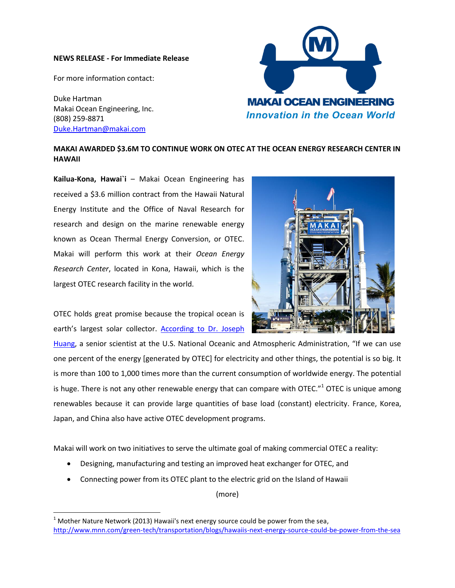## **NEWS RELEASE - For Immediate Release**

For more information contact:

Duke Hartman Makai Ocean Engineering, Inc. (808) 259-8871 [Duke.Hartman@makai.com](mailto:Billy.Pieper@makai.com)

l



## **MAKAI AWARDED \$3.6M TO CONTINUE WORK ON OTEC AT THE OCEAN ENERGY RESEARCH CENTER IN HAWAII**

**Kailua-Kona, Hawai`i** – Makai Ocean Engineering has received a \$3.6 million contract from the Hawaii Natural Energy Institute and the Office of Naval Research for research and design on the marine renewable energy known as Ocean Thermal Energy Conversion, or OTEC. Makai will perform this work at their *Ocean Energy Research Center*, located in Kona, Hawaii, which is the largest OTEC research facility in the world.

OTEC holds great promise because the tropical ocean is earth's largest solar collector. [According to Dr. Joseph](http://www.mnn.com/green-tech/transportation/blogs/hawaiis-next-energy-source-could-be-power-from-the-sea) 

[Huang,](http://www.mnn.com/green-tech/transportation/blogs/hawaiis-next-energy-source-could-be-power-from-the-sea) a senior scientist at the U.S. National Oceanic and Atmospheric Administration, "If we can use one percent of the energy [generated by OTEC] for electricity and other things, the potential is so big. It is more than 100 to 1,000 times more than the current consumption of worldwide energy. The potential is huge. There is not any other renewable energy that can compare with OTEC."<sup>1</sup> OTEC is unique among renewables because it can provide large quantities of base load (constant) electricity. France, Korea, Japan, and China also have active OTEC development programs.

Makai will work on two initiatives to serve the ultimate goal of making commercial OTEC a reality:

- Designing, manufacturing and testing an improved heat exchanger for OTEC, and
- Connecting power from its OTEC plant to the electric grid on the Island of Hawaii

(more)



 $1$  Mother Nature Network (2013) Hawaii's next energy source could be power from the sea, <http://www.mnn.com/green-tech/transportation/blogs/hawaiis-next-energy-source-could-be-power-from-the-sea>